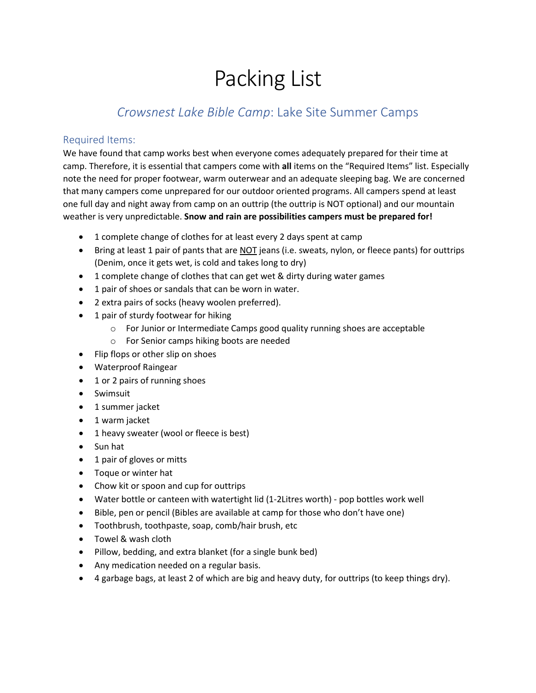# Packing List

## *Crowsnest Lake Bible Camp*: Lake Site Summer Camps

#### Required Items:

We have found that camp works best when everyone comes adequately prepared for their time at camp. Therefore, it is essential that campers come with **all** items on the "Required Items" list. Especially note the need for proper footwear, warm outerwear and an adequate sleeping bag. We are concerned that many campers come unprepared for our outdoor oriented programs. All campers spend at least one full day and night away from camp on an outtrip (the outtrip is NOT optional) and our mountain weather is very unpredictable. **Snow and rain are possibilities campers must be prepared for!**

- 1 complete change of clothes for at least every 2 days spent at camp
- Bring at least 1 pair of pants that are NOT jeans (i.e. sweats, nylon, or fleece pants) for outtrips (Denim, once it gets wet, is cold and takes long to dry)
- 1 complete change of clothes that can get wet & dirty during water games
- 1 pair of shoes or sandals that can be worn in water.
- 2 extra pairs of socks (heavy woolen preferred).
- 1 pair of sturdy footwear for hiking
	- $\circ$  For Junior or Intermediate Camps good quality running shoes are acceptable
	- o For Senior camps hiking boots are needed
- Flip flops or other slip on shoes
- Waterproof Raingear
- 1 or 2 pairs of running shoes
- Swimsuit
- 1 summer jacket
- 1 warm jacket
- 1 heavy sweater (wool or fleece is best)
- Sun hat
- 1 pair of gloves or mitts
- Toque or winter hat
- Chow kit or spoon and cup for outtrips
- Water bottle or canteen with watertight lid (1-2Litres worth) pop bottles work well
- Bible, pen or pencil (Bibles are available at camp for those who don't have one)
- Toothbrush, toothpaste, soap, comb/hair brush, etc
- Towel & wash cloth
- Pillow, bedding, and extra blanket (for a single bunk bed)
- Any medication needed on a regular basis.
- 4 garbage bags, at least 2 of which are big and heavy duty, for outtrips (to keep things dry).